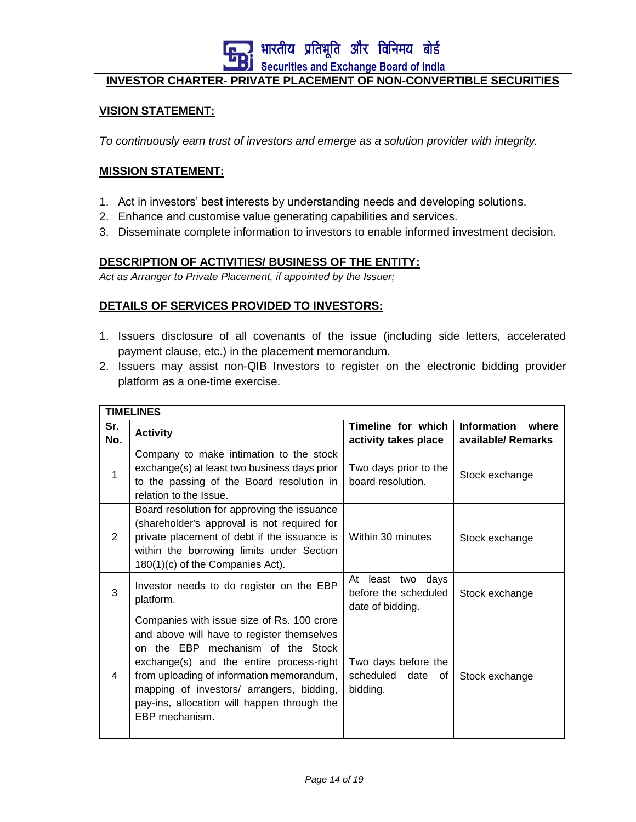<mark>! भारतीय प्रतिभूति और विनिमय बोर्ड</mark>

Securities and Exchange Board of India

#### **INVESTOR CHARTER- PRIVATE PLACEMENT OF NON-CONVERTIBLE SECURITIES**

#### **VISION STATEMENT:**

*To continuously earn trust of investors and emerge as a solution provider with integrity.*

#### **MISSION STATEMENT:**

- 1. Act in investors' best interests by understanding needs and developing solutions.
- 2. Enhance and customise value generating capabilities and services.
- 3. Disseminate complete information to investors to enable informed investment decision.

#### **DESCRIPTION OF ACTIVITIES/ BUSINESS OF THE ENTITY:**

*Act as Arranger to Private Placement, if appointed by the Issuer;*

#### **DETAILS OF SERVICES PROVIDED TO INVESTORS:**

- 1. Issuers disclosure of all covenants of the issue (including side letters, accelerated payment clause, etc.) in the placement memorandum.
- 2. Issuers may assist non-QIB Investors to register on the electronic bidding provider platform as a one-time exercise.

|            | <b>TIMELINES</b>                                                                                                                                                                                                                                                                                                                     |                                                                  |                                                   |  |  |  |  |
|------------|--------------------------------------------------------------------------------------------------------------------------------------------------------------------------------------------------------------------------------------------------------------------------------------------------------------------------------------|------------------------------------------------------------------|---------------------------------------------------|--|--|--|--|
| Sr.<br>No. | <b>Activity</b>                                                                                                                                                                                                                                                                                                                      | Timeline for which<br>activity takes place                       | <b>Information</b><br>where<br>available/ Remarks |  |  |  |  |
| 1          | Company to make intimation to the stock<br>exchange(s) at least two business days prior<br>to the passing of the Board resolution in<br>relation to the Issue.                                                                                                                                                                       | Two days prior to the<br>board resolution.                       | Stock exchange                                    |  |  |  |  |
| 2          | Board resolution for approving the issuance<br>(shareholder's approval is not required for<br>private placement of debt if the issuance is<br>within the borrowing limits under Section<br>180(1)(c) of the Companies Act).                                                                                                          | Within 30 minutes                                                | Stock exchange                                    |  |  |  |  |
| 3          | Investor needs to do register on the EBP<br>platform.                                                                                                                                                                                                                                                                                | At least two<br>days<br>before the scheduled<br>date of bidding. | Stock exchange                                    |  |  |  |  |
| 4          | Companies with issue size of Rs. 100 crore<br>and above will have to register themselves<br>on the EBP mechanism of the Stock<br>exchange(s) and the entire process-right<br>from uploading of information memorandum,<br>mapping of investors/ arrangers, bidding,<br>pay-ins, allocation will happen through the<br>EBP mechanism. | Two days before the<br>scheduled date<br>0f<br>bidding.          | Stock exchange                                    |  |  |  |  |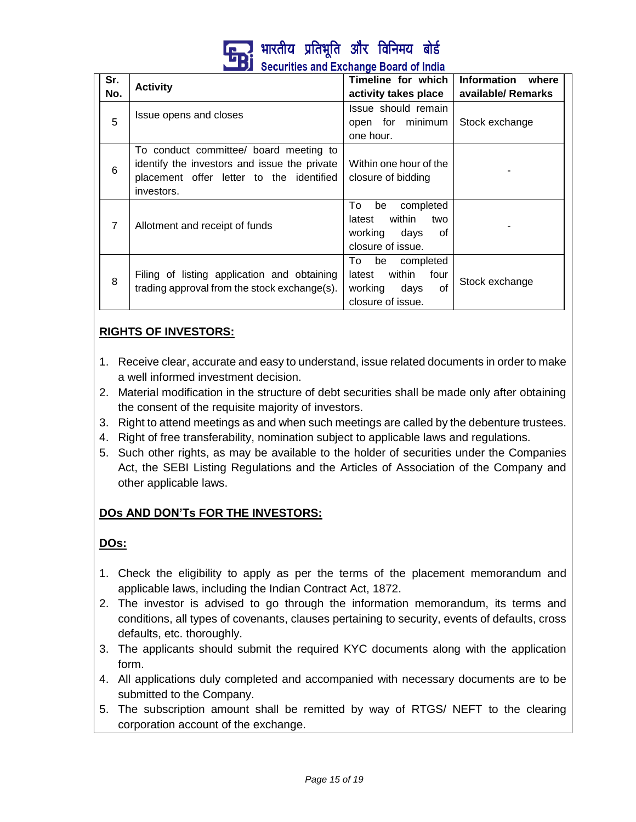

| Sr. |                                                                                                                                                  | Timeline for which                                                                          | Information where  |
|-----|--------------------------------------------------------------------------------------------------------------------------------------------------|---------------------------------------------------------------------------------------------|--------------------|
| No. | <b>Activity</b>                                                                                                                                  | activity takes place                                                                        | available/ Remarks |
| 5   | Issue opens and closes                                                                                                                           | Issue should remain<br>open for minimum<br>one hour.                                        | Stock exchange     |
| 6   | To conduct committee/ board meeting to<br>identify the investors and issue the private<br>placement offer letter to the identified<br>investors. | Within one hour of the<br>closure of bidding                                                |                    |
| 7   | Allotment and receipt of funds                                                                                                                   | be<br>completed<br>To<br>within<br>latest<br>two<br>working days<br>of<br>closure of issue. |                    |
| 8   | Filing of listing application and obtaining<br>trading approval from the stock exchange(s).                                                      | To be completed<br>latest within four<br>working days<br>of<br>closure of issue.            | Stock exchange     |

# **RIGHTS OF INVESTORS:**

- 1. Receive clear, accurate and easy to understand, issue related documents in order to make a well informed investment decision.
- 2. Material modification in the structure of debt securities shall be made only after obtaining the consent of the requisite majority of investors.
- 3. Right to attend meetings as and when such meetings are called by the debenture trustees.
- 4. Right of free transferability, nomination subject to applicable laws and regulations.
- 5. Such other rights, as may be available to the holder of securities under the Companies Act, the SEBI Listing Regulations and the Articles of Association of the Company and other applicable laws.

# **DOs AND DON'Ts FOR THE INVESTORS:**

# **DOs:**

- 1. Check the eligibility to apply as per the terms of the placement memorandum and applicable laws, including the Indian Contract Act, 1872.
- 2. The investor is advised to go through the information memorandum, its terms and conditions, all types of covenants, clauses pertaining to security, events of defaults, cross defaults, etc. thoroughly.
- 3. The applicants should submit the required KYC documents along with the application form.
- 4. All applications duly completed and accompanied with necessary documents are to be submitted to the Company.
- 5. The subscription amount shall be remitted by way of RTGS/ NEFT to the clearing corporation account of the exchange.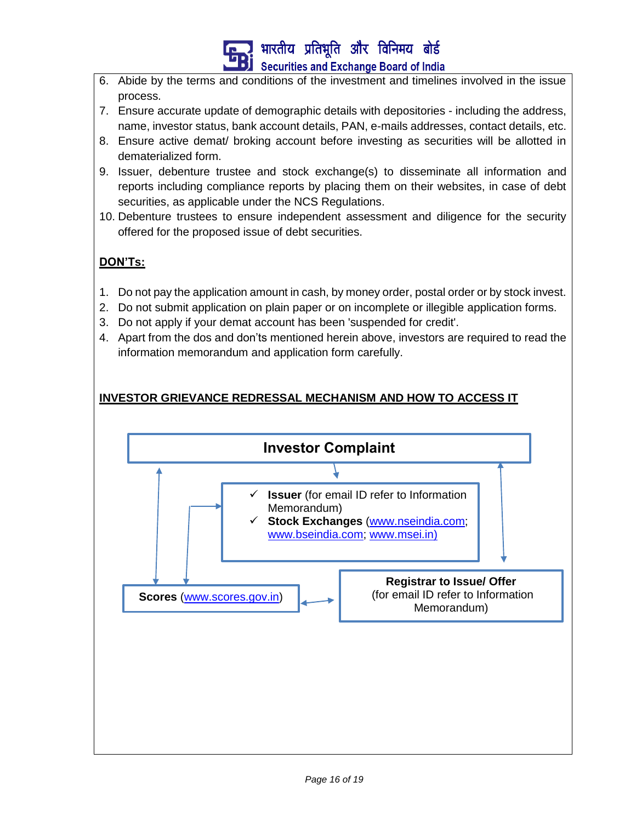# भारतीय प्रतिभूति और विनिमय बोर्ड **Securities and Exchange Board of India**

- 6. Abide by the terms and conditions of the investment and timelines involved in the issue process.
- 7. Ensure accurate update of demographic details with depositories including the address, name, investor status, bank account details, PAN, e-mails addresses, contact details, etc.
- 8. Ensure active demat/ broking account before investing as securities will be allotted in dematerialized form.
- 9. Issuer, debenture trustee and stock exchange(s) to disseminate all information and reports including compliance reports by placing them on their websites, in case of debt securities, as applicable under the NCS Regulations.
- 10. Debenture trustees to ensure independent assessment and diligence for the security offered for the proposed issue of debt securities.

# **DON'Ts:**

- 1. Do not pay the application amount in cash, by money order, postal order or by stock invest.
- 2. Do not submit application on plain paper or on incomplete or illegible application forms.
- 3. Do not apply if your demat account has been 'suspended for credit'.
- 4. Apart from the dos and don'ts mentioned herein above, investors are required to read the information memorandum and application form carefully.

# **INVESTOR GRIEVANCE REDRESSAL MECHANISM AND HOW TO ACCESS IT**

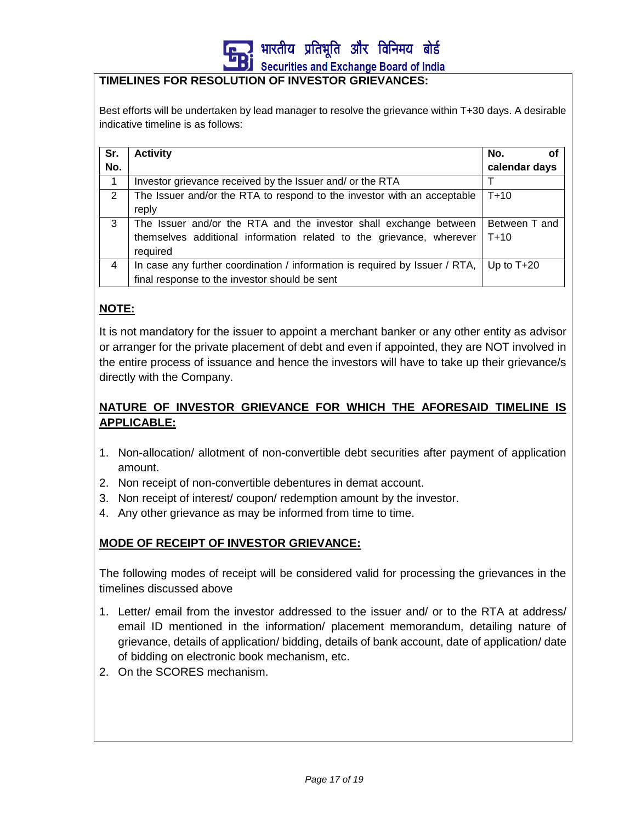

#### **TIMELINES FOR RESOLUTION OF INVESTOR GRIEVANCES:**

Best efforts will be undertaken by lead manager to resolve the grievance within T+30 days. A desirable indicative timeline is as follows:

| Sr. | <b>Activity</b>                                                             | No.<br>οf     |
|-----|-----------------------------------------------------------------------------|---------------|
| No. |                                                                             | calendar days |
| 1   | Investor grievance received by the Issuer and/ or the RTA                   |               |
| 2   | The Issuer and/or the RTA to respond to the investor with an acceptable     | $T + 10$      |
|     | reply                                                                       |               |
| 3   | The Issuer and/or the RTA and the investor shall exchange between           | Between T and |
|     | themselves additional information related to the grievance, wherever        | $T + 10$      |
|     | required                                                                    |               |
| 4   | In case any further coordination / information is required by Issuer / RTA, | Up to $T+20$  |
|     | final response to the investor should be sent                               |               |

### **NOTE:**

It is not mandatory for the issuer to appoint a merchant banker or any other entity as advisor or arranger for the private placement of debt and even if appointed, they are NOT involved in the entire process of issuance and hence the investors will have to take up their grievance/s directly with the Company.

# **NATURE OF INVESTOR GRIEVANCE FOR WHICH THE AFORESAID TIMELINE IS APPLICABLE:**

- 1. Non-allocation/ allotment of non-convertible debt securities after payment of application amount.
- 2. Non receipt of non-convertible debentures in demat account.
- 3. Non receipt of interest/ coupon/ redemption amount by the investor.
- 4. Any other grievance as may be informed from time to time.

#### **MODE OF RECEIPT OF INVESTOR GRIEVANCE:**

The following modes of receipt will be considered valid for processing the grievances in the timelines discussed above

- 1. Letter/ email from the investor addressed to the issuer and/ or to the RTA at address/ email ID mentioned in the information/ placement memorandum, detailing nature of grievance, details of application/ bidding, details of bank account, date of application/ date of bidding on electronic book mechanism, etc.
- 2. On the SCORES mechanism.